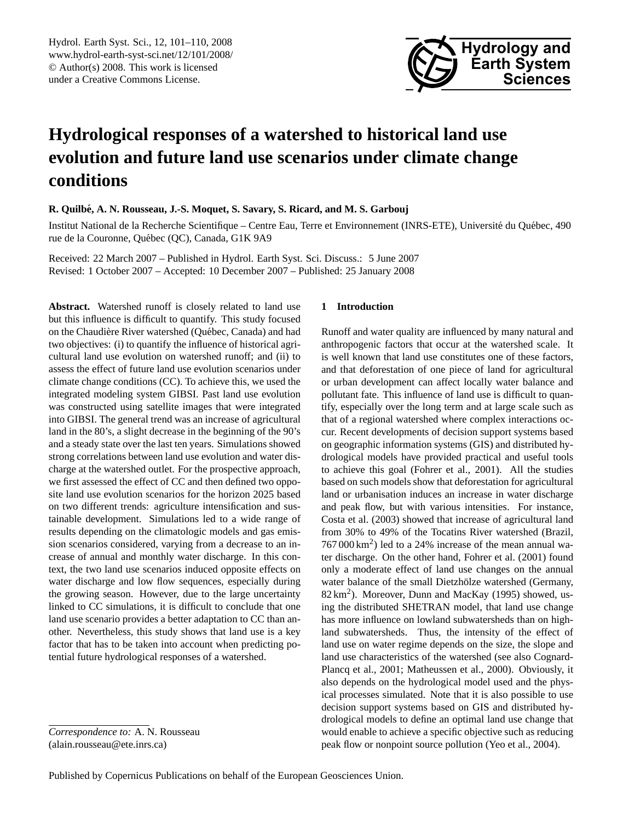

# <span id="page-0-0"></span>**Hydrological responses of a watershed to historical land use evolution and future land use scenarios under climate change conditions**

**R. Quilbe, A. N. Rousseau, J.-S. Moquet, S. Savary, S. Ricard, and M. S. Garbouj ´**

Institut National de la Recherche Scientifique – Centre Eau, Terre et Environnement (INRS-ETE), Université du Québec, 490 rue de la Couronne, Québec (QC), Canada, G1K 9A9

Received: 22 March 2007 – Published in Hydrol. Earth Syst. Sci. Discuss.: 5 June 2007 Revised: 1 October 2007 – Accepted: 10 December 2007 – Published: 25 January 2008

**Abstract.** Watershed runoff is closely related to land use but this influence is difficult to quantify. This study focused on the Chaudière River watershed (Québec, Canada) and had two objectives: (i) to quantify the influence of historical agricultural land use evolution on watershed runoff; and (ii) to assess the effect of future land use evolution scenarios under climate change conditions (CC). To achieve this, we used the integrated modeling system GIBSI. Past land use evolution was constructed using satellite images that were integrated into GIBSI. The general trend was an increase of agricultural land in the 80's, a slight decrease in the beginning of the 90's and a steady state over the last ten years. Simulations showed strong correlations between land use evolution and water discharge at the watershed outlet. For the prospective approach, we first assessed the effect of CC and then defined two opposite land use evolution scenarios for the horizon 2025 based on two different trends: agriculture intensification and sustainable development. Simulations led to a wide range of results depending on the climatologic models and gas emission scenarios considered, varying from a decrease to an increase of annual and monthly water discharge. In this context, the two land use scenarios induced opposite effects on water discharge and low flow sequences, especially during the growing season. However, due to the large uncertainty linked to CC simulations, it is difficult to conclude that one land use scenario provides a better adaptation to CC than another. Nevertheless, this study shows that land use is a key factor that has to be taken into account when predicting potential future hydrological responses of a watershed.

## **1 Introduction**

Runoff and water quality are influenced by many natural and anthropogenic factors that occur at the watershed scale. It is well known that land use constitutes one of these factors, and that deforestation of one piece of land for agricultural or urban development can affect locally water balance and pollutant fate. This influence of land use is difficult to quantify, especially over the long term and at large scale such as that of a regional watershed where complex interactions occur. Recent developments of decision support systems based on geographic information systems (GIS) and distributed hydrological models have provided practical and useful tools to achieve this goal (Fohrer et al., 2001). All the studies based on such models show that deforestation for agricultural land or urbanisation induces an increase in water discharge and peak flow, but with various intensities. For instance, Costa et al. (2003) showed that increase of agricultural land from 30% to 49% of the Tocatins River watershed (Brazil,  $767000 \text{ km}^2$ ) led to a 24% increase of the mean annual water discharge. On the other hand, Fohrer et al. (2001) found only a moderate effect of land use changes on the annual water balance of the small Dietzhölze watershed (Germany, 82 km<sup>2</sup> ). Moreover, Dunn and MacKay (1995) showed, using the distributed SHETRAN model, that land use change has more influence on lowland subwatersheds than on highland subwatersheds. Thus, the intensity of the effect of land use on water regime depends on the size, the slope and land use characteristics of the watershed (see also Cognard-Plancq et al., 2001; Matheussen et al., 2000). Obviously, it also depends on the hydrological model used and the physical processes simulated. Note that it is also possible to use decision support systems based on GIS and distributed hydrological models to define an optimal land use change that would enable to achieve a specific objective such as reducing peak flow or nonpoint source pollution (Yeo et al., 2004).

*Correspondence to:* A. N. Rousseau (alain.rousseau@ete.inrs.ca)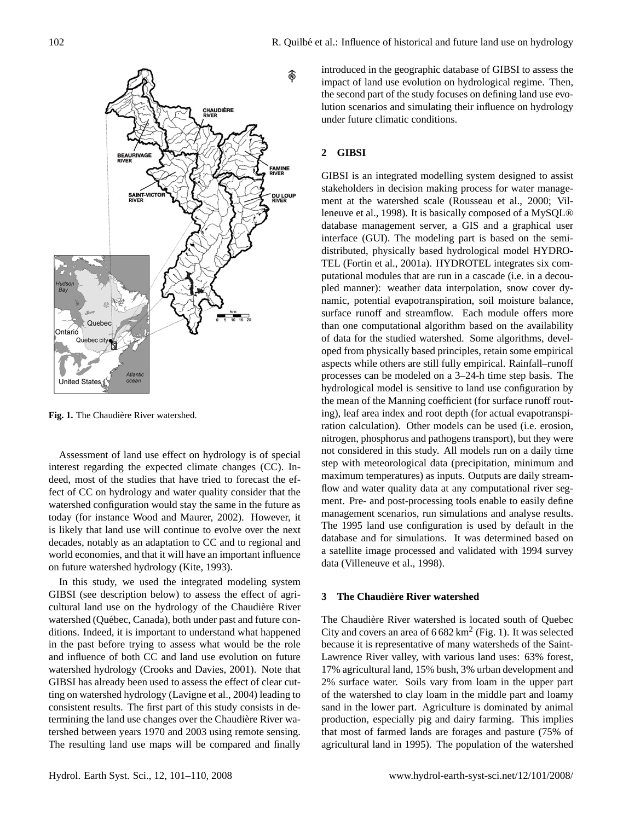

Fig. 1. The Chaudière River watershed.

Assessment of land use effect on hydrology is of special interest regarding the expected climate changes (CC). Indeed, most of the studies that have tried to forecast the effect of CC on hydrology and water quality consider that the watershed configuration would stay the same in the future as today (for instance Wood and Maurer, 2002). However, it is likely that land use will continue to evolve over the next decades, notably as an adaptation to CC and to regional and world economies, and that it will have an important influence on future watershed hydrology (Kite, 1993).

In this study, we used the integrated modeling system GIBSI (see description below) to assess the effect of agricultural land use on the hydrology of the Chaudière River watershed (Québec, Canada), both under past and future conditions. Indeed, it is important to understand what happened in the past before trying to assess what would be the role and influence of both CC and land use evolution on future watershed hydrology (Crooks and Davies, 2001). Note that GIBSI has already been used to assess the effect of clear cutting on watershed hydrology (Lavigne et al., 2004) leading to consistent results. The first part of this study consists in determining the land use changes over the Chaudière River watershed between years 1970 and 2003 using remote sensing. The resulting land use maps will be compared and finally introduced in the geographic database of GIBSI to assess the impact of land use evolution on hydrological regime. Then, the second part of the study focuses on defining land use evolution scenarios and simulating their influence on hydrology under future climatic conditions.

## **2 GIBSI**

GIBSI is an integrated modelling system designed to assist stakeholders in decision making process for water management at the watershed scale (Rousseau et al., 2000; Villeneuve et al., 1998). It is basically composed of a MySQL® database management server, a GIS and a graphical user interface (GUI). The modeling part is based on the semidistributed, physically based hydrological model HYDRO-TEL (Fortin et al., 2001a). HYDROTEL integrates six computational modules that are run in a cascade (i.e. in a decoupled manner): weather data interpolation, snow cover dynamic, potential evapotranspiration, soil moisture balance, surface runoff and streamflow. Each module offers more than one computational algorithm based on the availability of data for the studied watershed. Some algorithms, developed from physically based principles, retain some empirical aspects while others are still fully empirical. Rainfall–runoff processes can be modeled on a 3–24-h time step basis. The hydrological model is sensitive to land use configuration by the mean of the Manning coefficient (for surface runoff routing), leaf area index and root depth (for actual evapotranspiration calculation). Other models can be used (i.e. erosion, nitrogen, phosphorus and pathogens transport), but they were not considered in this study. All models run on a daily time step with meteorological data (precipitation, minimum and maximum temperatures) as inputs. Outputs are daily streamflow and water quality data at any computational river segment. Pre- and post-processing tools enable to easily define management scenarios, run simulations and analyse results. The 1995 land use configuration is used by default in the database and for simulations. It was determined based on a satellite image processed and validated with 1994 survey data (Villeneuve et al., 1998).

#### **3 The Chaudiere River watershed `**

The Chaudière River watershed is located south of Quebec City and covers an area of  $6682 \text{ km}^2$  (Fig. 1). It was selected because it is representative of many watersheds of the Saint-Lawrence River valley, with various land uses: 63% forest, 17% agricultural land, 15% bush, 3% urban development and 2% surface water. Soils vary from loam in the upper part of the watershed to clay loam in the middle part and loamy sand in the lower part. Agriculture is dominated by animal production, especially pig and dairy farming. This implies that most of farmed lands are forages and pasture (75% of agricultural land in 1995). The population of the watershed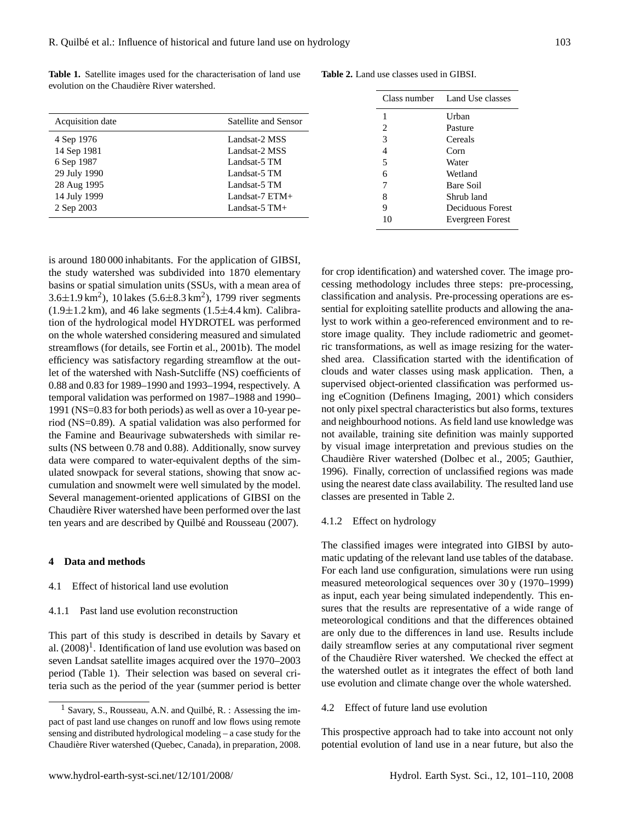| <b>Table 1.</b> Satellite images used for the characterisation of land use |  |  |  |  |  |
|----------------------------------------------------------------------------|--|--|--|--|--|
| evolution on the Chaudière River watershed.                                |  |  |  |  |  |

| Acquisition date | Satellite and Sensor |
|------------------|----------------------|
| 4 Sep 1976       | Landsat-2 MSS        |
| 14 Sep 1981      | Landsat-2 MSS        |
| 6 Sep 1987       | Landsat-5 TM         |
| 29 July 1990     | Landsat-5 TM         |
| 28 Aug 1995      | Landsat-5 TM         |
| 14 July 1999     | Landsat- $7$ ETM+    |
| 2 Sep 2003       | Landsat- $5$ TM+     |

**Table 2.** Land use classes used in GIBSI.

|                | Class number Land Use classes |
|----------------|-------------------------------|
| 1              | Urban                         |
| 2              | Pasture                       |
| 3              | Cereals                       |
| $\overline{4}$ | Corn                          |
| 5              | Water                         |
| 6              | Wetland                       |
| 7              | Bare Soil                     |
| 8              | Shrub land                    |
| 9              | Deciduous Forest              |
|                | Evergreen Forest              |

is around 180 000 inhabitants. For the application of GIBSI, the study watershed was subdivided into 1870 elementary basins or spatial simulation units (SSUs, with a mean area of  $3.6 \pm 1.9 \text{ km}^2$ ), 10 lakes  $(5.6 \pm 8.3 \text{ km}^2)$ , 1799 river segments  $(1.9\pm1.2 \text{ km})$ , and 46 lake segments  $(1.5\pm4.4 \text{ km})$ . Calibration of the hydrological model HYDROTEL was performed on the whole watershed considering measured and simulated streamflows (for details, see Fortin et al., 2001b). The model efficiency was satisfactory regarding streamflow at the outlet of the watershed with Nash-Sutcliffe (NS) coefficients of 0.88 and 0.83 for 1989–1990 and 1993–1994, respectively. A temporal validation was performed on 1987–1988 and 1990– 1991 (NS=0.83 for both periods) as well as over a 10-year period (NS=0.89). A spatial validation was also performed for the Famine and Beaurivage subwatersheds with similar results (NS between 0.78 and 0.88). Additionally, snow survey data were compared to water-equivalent depths of the simulated snowpack for several stations, showing that snow accumulation and snowmelt were well simulated by the model. Several management-oriented applications of GIBSI on the Chaudiere River watershed have been performed over the last ` ten years and are described by Quilbé and Rousseau (2007).

## **4 Data and methods**

## 4.1 Effect of historical land use evolution

## 4.1.1 Past land use evolution reconstruction

This part of this study is described in details by Savary et al.  $(2008)^1$  $(2008)^1$ . Identification of land use evolution was based on seven Landsat satellite images acquired over the 1970–2003 period (Table 1). Their selection was based on several criteria such as the period of the year (summer period is better for crop identification) and watershed cover. The image processing methodology includes three steps: pre-processing, classification and analysis. Pre-processing operations are essential for exploiting satellite products and allowing the analyst to work within a geo-referenced environment and to restore image quality. They include radiometric and geometric transformations, as well as image resizing for the watershed area. Classification started with the identification of clouds and water classes using mask application. Then, a supervised object-oriented classification was performed using eCognition (Definens Imaging, 2001) which considers not only pixel spectral characteristics but also forms, textures and neighbourhood notions. As field land use knowledge was not available, training site definition was mainly supported by visual image interpretation and previous studies on the Chaudière River watershed (Dolbec et al., 2005; Gauthier, 1996). Finally, correction of unclassified regions was made using the nearest date class availability. The resulted land use classes are presented in Table 2.

## 4.1.2 Effect on hydrology

The classified images were integrated into GIBSI by automatic updating of the relevant land use tables of the database. For each land use configuration, simulations were run using measured meteorological sequences over 30 y (1970–1999) as input, each year being simulated independently. This ensures that the results are representative of a wide range of meteorological conditions and that the differences obtained are only due to the differences in land use. Results include daily streamflow series at any computational river segment of the Chaudiere River watershed. We checked the effect at ` the watershed outlet as it integrates the effect of both land use evolution and climate change over the whole watershed.

## 4.2 Effect of future land use evolution

This prospective approach had to take into account not only potential evolution of land use in a near future, but also the

<span id="page-2-0"></span><sup>&</sup>lt;sup>1</sup> Savary, S., Rousseau, A.N. and Quilbé, R. : Assessing the impact of past land use changes on runoff and low flows using remote sensing and distributed hydrological modeling – a case study for the Chaudiere River watershed (Quebec, Canada), in preparation, 2008. `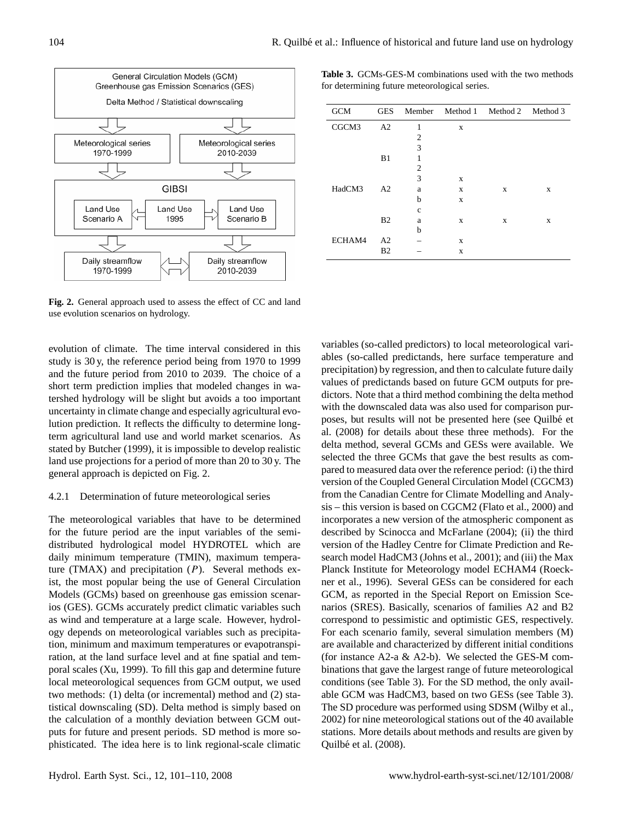

**Fig. 2.** General approach used to assess the effect of CC and land use evolution scenarios on hydrology.

evolution of climate. The time interval considered in this study is 30 y, the reference period being from 1970 to 1999 and the future period from 2010 to 2039. The choice of a short term prediction implies that modeled changes in watershed hydrology will be slight but avoids a too important uncertainty in climate change and especially agricultural evolution prediction. It reflects the difficulty to determine longterm agricultural land use and world market scenarios. As stated by Butcher (1999), it is impossible to develop realistic land use projections for a period of more than 20 to 30 y. The general approach is depicted on Fig. 2.

#### 4.2.1 Determination of future meteorological series

The meteorological variables that have to be determined for the future period are the input variables of the semidistributed hydrological model HYDROTEL which are daily minimum temperature (TMIN), maximum temperature (TMAX) and precipitation  $(P)$ . Several methods exist, the most popular being the use of General Circulation Models (GCMs) based on greenhouse gas emission scenarios (GES). GCMs accurately predict climatic variables such as wind and temperature at a large scale. However, hydrology depends on meteorological variables such as precipitation, minimum and maximum temperatures or evapotranspiration, at the land surface level and at fine spatial and temporal scales (Xu, 1999). To fill this gap and determine future local meteorological sequences from GCM output, we used two methods: (1) delta (or incremental) method and (2) statistical downscaling (SD). Delta method is simply based on the calculation of a monthly deviation between GCM outputs for future and present periods. SD method is more sophisticated. The idea here is to link regional-scale climatic

**Table 3.** GCMs-GES-M combinations used with the two methods for determining future meteorological series.

| <b>GCM</b> | GES            |                |   | Member Method 1 Method 2 Method 3 |   |
|------------|----------------|----------------|---|-----------------------------------|---|
| CGCM3      | A <sub>2</sub> | 1              | X |                                   |   |
|            |                | $\overline{c}$ |   |                                   |   |
|            |                | 3              |   |                                   |   |
|            | B1             | 1              |   |                                   |   |
|            |                | $\overline{2}$ |   |                                   |   |
|            |                | 3              | X |                                   |   |
| HadCM3     | A <sub>2</sub> | a              | X | X                                 | X |
|            |                | b              | X |                                   |   |
|            |                | $\mathbf{c}$   |   |                                   |   |
|            | B <sub>2</sub> | a              | X | X                                 | X |
|            |                | b              |   |                                   |   |
| ECHAM4     | A <sub>2</sub> |                | X |                                   |   |
|            | B <sub>2</sub> |                | X |                                   |   |

variables (so-called predictors) to local meteorological variables (so-called predictands, here surface temperature and precipitation) by regression, and then to calculate future daily values of predictands based on future GCM outputs for predictors. Note that a third method combining the delta method with the downscaled data was also used for comparison purposes, but results will not be presented here (see Quilbé et al. (2008) for details about these three methods). For the delta method, several GCMs and GESs were available. We selected the three GCMs that gave the best results as compared to measured data over the reference period: (i) the third version of the Coupled General Circulation Model (CGCM3) from the Canadian Centre for Climate Modelling and Analysis – this version is based on CGCM2 (Flato et al., 2000) and incorporates a new version of the atmospheric component as described by Scinocca and McFarlane (2004); (ii) the third version of the Hadley Centre for Climate Prediction and Research model HadCM3 (Johns et al., 2001); and (iii) the Max Planck Institute for Meteorology model ECHAM4 (Roeckner et al., 1996). Several GESs can be considered for each GCM, as reported in the Special Report on Emission Scenarios (SRES). Basically, scenarios of families A2 and B2 correspond to pessimistic and optimistic GES, respectively. For each scenario family, several simulation members (M) are available and characterized by different initial conditions (for instance A2-a & A2-b). We selected the GES-M combinations that gave the largest range of future meteorological conditions (see Table 3). For the SD method, the only available GCM was HadCM3, based on two GESs (see Table 3). The SD procedure was performed using SDSM (Wilby et al., 2002) for nine meteorological stations out of the 40 available stations. More details about methods and results are given by Quilbé et al. (2008).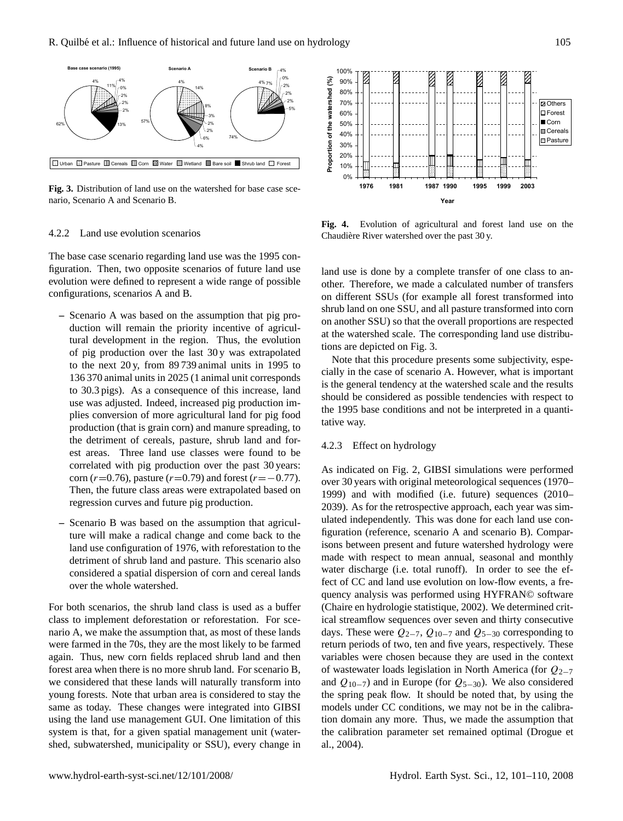

**Fig. 3.** Distribution of land use on the watershed for base case scenario, Scenario A and Scenario B.

### 4.2.2 Land use evolution scenarios

The base case scenario regarding land use was the 1995 configuration. Then, two opposite scenarios of future land use evolution were defined to represent a wide range of possible configurations, scenarios A and B.

- **–** Scenario A was based on the assumption that pig production will remain the priority incentive of agricultural development in the region. Thus, the evolution of pig production over the last 30 y was extrapolated to the next 20 y, from 89 739 animal units in 1995 to 136 370 animal units in 2025 (1 animal unit corresponds to 30.3 pigs). As a consequence of this increase, land use was adjusted. Indeed, increased pig production implies conversion of more agricultural land for pig food production (that is grain corn) and manure spreading, to the detriment of cereals, pasture, shrub land and forest areas. Three land use classes were found to be correlated with pig production over the past 30 years: corn ( $r=0.76$ ), pasture ( $r=0.79$ ) and forest ( $r=-0.77$ ). Then, the future class areas were extrapolated based on regression curves and future pig production.
- **–** Scenario B was based on the assumption that agriculture will make a radical change and come back to the land use configuration of 1976, with reforestation to the detriment of shrub land and pasture. This scenario also considered a spatial dispersion of corn and cereal lands over the whole watershed.

For both scenarios, the shrub land class is used as a buffer class to implement deforestation or reforestation. For scenario A, we make the assumption that, as most of these lands were farmed in the 70s, they are the most likely to be farmed again. Thus, new corn fields replaced shrub land and then forest area when there is no more shrub land. For scenario B, we considered that these lands will naturally transform into young forests. Note that urban area is considered to stay the same as today. These changes were integrated into GIBSI using the land use management GUI. One limitation of this system is that, for a given spatial management unit (watershed, subwatershed, municipality or SSU), every change in



**Fig. 4.** Evolution of agricultural and forest land use on the Chaudiere River watershed over the past 30 y. `

land use is done by a complete transfer of one class to another. Therefore, we made a calculated number of transfers on different SSUs (for example all forest transformed into shrub land on one SSU, and all pasture transformed into corn on another SSU) so that the overall proportions are respected at the watershed scale. The corresponding land use distributions are depicted on Fig. 3.

Note that this procedure presents some subjectivity, especially in the case of scenario A. However, what is important is the general tendency at the watershed scale and the results should be considered as possible tendencies with respect to the 1995 base conditions and not be interpreted in a quantitative way.

## 4.2.3 Effect on hydrology

As indicated on Fig. 2, GIBSI simulations were performed over 30 years with original meteorological sequences (1970– 1999) and with modified (i.e. future) sequences (2010– 2039). As for the retrospective approach, each year was simulated independently. This was done for each land use configuration (reference, scenario A and scenario B). Comparisons between present and future watershed hydrology were made with respect to mean annual, seasonal and monthly water discharge (i.e. total runoff). In order to see the effect of CC and land use evolution on low-flow events, a frequency analysis was performed using HYFRAN© software (Chaire en hydrologie statistique, 2002). We determined critical streamflow sequences over seven and thirty consecutive days. These were  $Q_{2-7}$ ,  $Q_{10-7}$  and  $Q_{5-30}$  corresponding to return periods of two, ten and five years, respectively. These variables were chosen because they are used in the context of wastewater loads legislation in North America (for Q2−<sup>7</sup> and  $Q_{10-7}$ ) and in Europe (for  $Q_{5-30}$ ). We also considered the spring peak flow. It should be noted that, by using the models under CC conditions, we may not be in the calibration domain any more. Thus, we made the assumption that the calibration parameter set remained optimal (Drogue et al., 2004).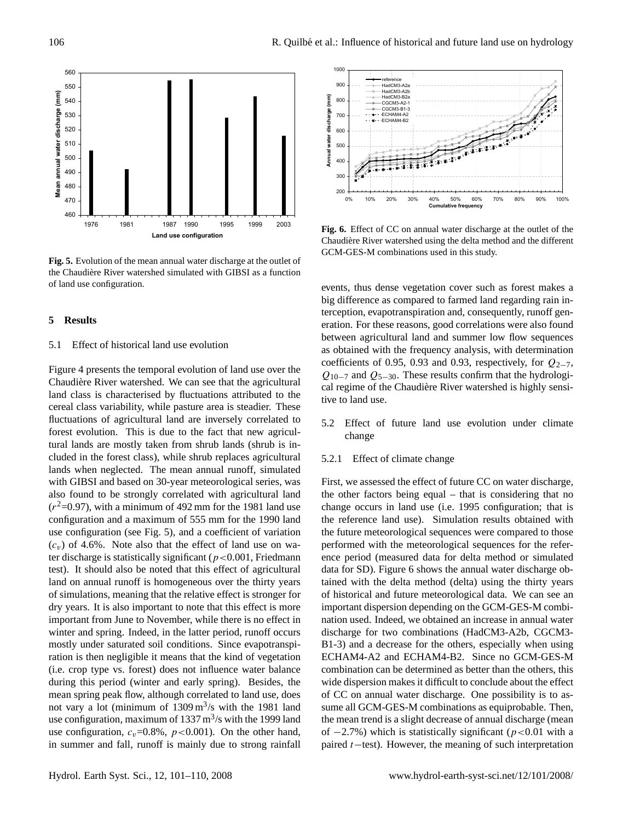

**Fig. 5.** Evolution of the mean annual water discharge at the outlet of the Chaudière River watershed simulated with GIBSI as a function of land use configuration.

## **5 Results**

## 5.1 Effect of historical land use evolution

Figure 4 presents the temporal evolution of land use over the Chaudière River watershed. We can see that the agricultural land class is characterised by fluctuations attributed to the cereal class variability, while pasture area is steadier. These fluctuations of agricultural land are inversely correlated to forest evolution. This is due to the fact that new agricultural lands are mostly taken from shrub lands (shrub is included in the forest class), while shrub replaces agricultural lands when neglected. The mean annual runoff, simulated with GIBSI and based on 30-year meteorological series, was also found to be strongly correlated with agricultural land  $(r<sup>2</sup>=0.97)$ , with a minimum of 492 mm for the 1981 land use configuration and a maximum of 555 mm for the 1990 land use configuration (see Fig. 5), and a coefficient of variation  $(c_v)$  of 4.6%. Note also that the effect of land use on water discharge is statistically significant ( $p < 0.001$ , Friedmann test). It should also be noted that this effect of agricultural land on annual runoff is homogeneous over the thirty years of simulations, meaning that the relative effect is stronger for dry years. It is also important to note that this effect is more important from June to November, while there is no effect in winter and spring. Indeed, in the latter period, runoff occurs mostly under saturated soil conditions. Since evapotranspiration is then negligible it means that the kind of vegetation (i.e. crop type vs. forest) does not influence water balance during this period (winter and early spring). Besides, the mean spring peak flow, although correlated to land use, does not vary a lot (minimum of  $1309 \text{ m}^3/\text{s}$  with the 1981 land use configuration, maximum of  $1337 \text{ m}^3/\text{s}$  with the 1999 land use configuration,  $c_v=0.8\%$ ,  $p<0.001$ ). On the other hand, in summer and fall, runoff is mainly due to strong rainfall



**Fig. 6.** Effect of CC on annual water discharge at the outlet of the Chaudiere River watershed using the delta method and the different ` GCM-GES-M combinations used in this study.

events, thus dense vegetation cover such as forest makes a big difference as compared to farmed land regarding rain interception, evapotranspiration and, consequently, runoff generation. For these reasons, good correlations were also found between agricultural land and summer low flow sequences as obtained with the frequency analysis, with determination coefficients of 0.95, 0.93 and 0.93, respectively, for  $Q_{2-7}$ ,  $Q_{10-7}$  and  $Q_{5-30}$ . These results confirm that the hydrological regime of the Chaudière River watershed is highly sensitive to land use.

5.2 Effect of future land use evolution under climate change

#### 5.2.1 Effect of climate change

First, we assessed the effect of future CC on water discharge, the other factors being equal – that is considering that no change occurs in land use (i.e. 1995 configuration; that is the reference land use). Simulation results obtained with the future meteorological sequences were compared to those performed with the meteorological sequences for the reference period (measured data for delta method or simulated data for SD). Figure 6 shows the annual water discharge obtained with the delta method (delta) using the thirty years of historical and future meteorological data. We can see an important dispersion depending on the GCM-GES-M combination used. Indeed, we obtained an increase in annual water discharge for two combinations (HadCM3-A2b, CGCM3- B1-3) and a decrease for the others, especially when using ECHAM4-A2 and ECHAM4-B2. Since no GCM-GES-M combination can be determined as better than the others, this wide dispersion makes it difficult to conclude about the effect of CC on annual water discharge. One possibility is to assume all GCM-GES-M combinations as equiprobable. Then, the mean trend is a slight decrease of annual discharge (mean of  $-2.7\%$ ) which is statistically significant (p<0.01 with a paired t−test). However, the meaning of such interpretation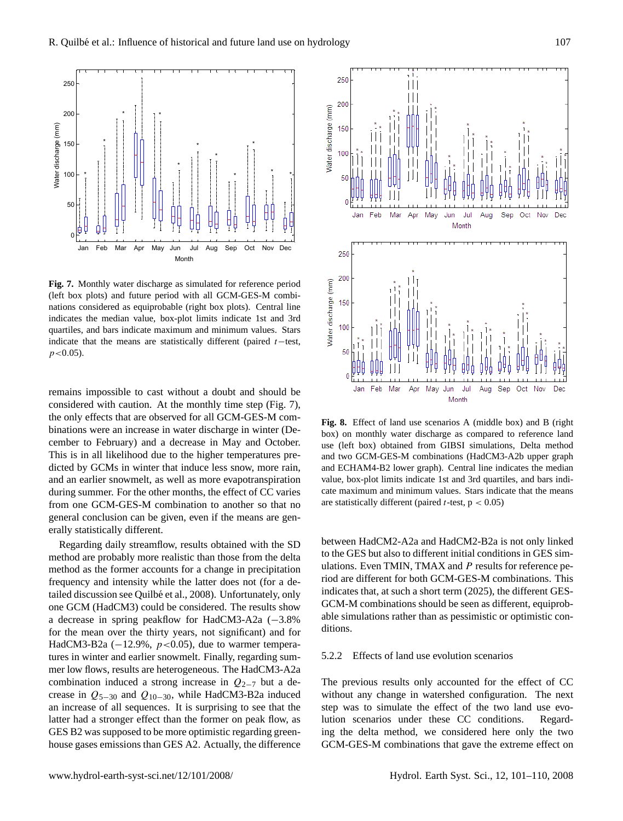

**Fig. 7.** Monthly water discharge as simulated for reference period (left box plots) and future period with all GCM-GES-M combinations considered as equiprobable (right box plots). Central line indicates the median value, box-plot limits indicate 1st and 3rd quartiles, and bars indicate maximum and minimum values. Stars indicate that the means are statistically different (paired  $t$  –test,  $p < 0.05$ ).

remains impossible to cast without a doubt and should be considered with caution. At the monthly time step (Fig. 7), the only effects that are observed for all GCM-GES-M combinations were an increase in water discharge in winter (December to February) and a decrease in May and October. This is in all likelihood due to the higher temperatures predicted by GCMs in winter that induce less snow, more rain, and an earlier snowmelt, as well as more evapotranspiration during summer. For the other months, the effect of CC varies from one GCM-GES-M combination to another so that no general conclusion can be given, even if the means are generally statistically different.

Regarding daily streamflow, results obtained with the SD method are probably more realistic than those from the delta method as the former accounts for a change in precipitation frequency and intensity while the latter does not (for a detailed discussion see Quilbé et al., 2008). Unfortunately, only one GCM (HadCM3) could be considered. The results show a decrease in spring peakflow for HadCM3-A2a (−3.8% for the mean over the thirty years, not significant) and for HadCM3-B2a ( $-12.9\%$ ,  $p < 0.05$ ), due to warmer temperatures in winter and earlier snowmelt. Finally, regarding summer low flows, results are heterogeneous. The HadCM3-A2a combination induced a strong increase in  $Q_{2-7}$  but a decrease in  $Q_{5-30}$  and  $Q_{10-30}$ , while HadCM3-B2a induced an increase of all sequences. It is surprising to see that the latter had a stronger effect than the former on peak flow, as GES B2 was supposed to be more optimistic regarding greenhouse gases emissions than GES A2. Actually, the difference



**Fig. 8.** Effect of land use scenarios A (middle box) and B (right box) on monthly water discharge as compared to reference land use (left box) obtained from GIBSI simulations, Delta method and two GCM-GES-M combinations (HadCM3-A2b upper graph and ECHAM4-B2 lower graph). Central line indicates the median value, box-plot limits indicate 1st and 3rd quartiles, and bars indicate maximum and minimum values. Stars indicate that the means are statistically different (paired  $t$ -test,  $p < 0.05$ )

between HadCM2-A2a and HadCM2-B2a is not only linked to the GES but also to different initial conditions in GES simulations. Even TMIN, TMAX and P results for reference period are different for both GCM-GES-M combinations. This indicates that, at such a short term (2025), the different GES-GCM-M combinations should be seen as different, equiprobable simulations rather than as pessimistic or optimistic conditions.

## 5.2.2 Effects of land use evolution scenarios

The previous results only accounted for the effect of CC without any change in watershed configuration. The next step was to simulate the effect of the two land use evolution scenarios under these CC conditions. Regarding the delta method, we considered here only the two GCM-GES-M combinations that gave the extreme effect on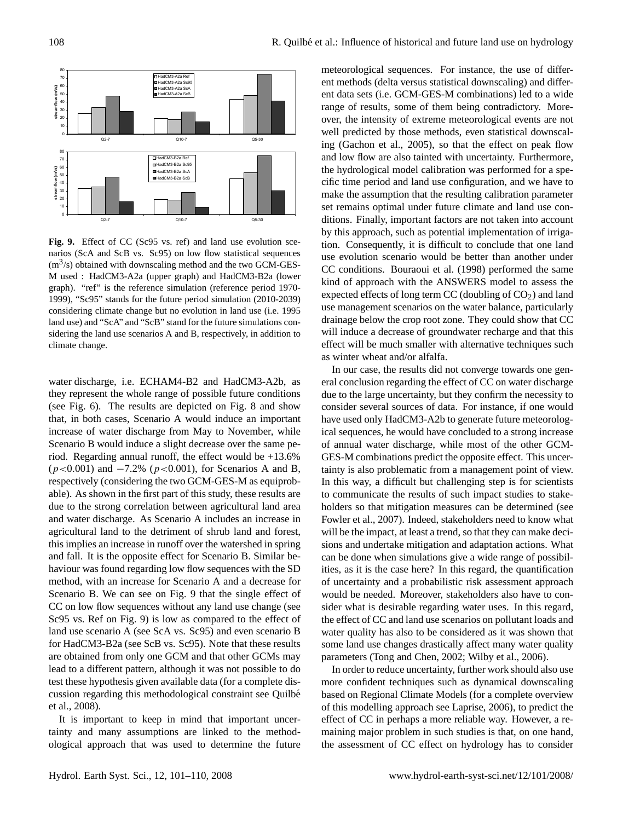

**Fig. 9.** Effect of CC (Sc95 vs. ref) and land use evolution scenarios (ScA and ScB vs. Sc95) on low flow statistical sequences  $(m<sup>3</sup>/s)$  obtained with downscaling method and the two GCM-GES-M used : HadCM3-A2a (upper graph) and HadCM3-B2a (lower graph). "ref" is the reference simulation (reference period 1970- 1999), "Sc95" stands for the future period simulation (2010-2039) considering climate change but no evolution in land use (i.e. 1995 land use) and "ScA" and "ScB" stand for the future simulations considering the land use scenarios A and B, respectively, in addition to climate change.

water discharge, i.e. ECHAM4-B2 and HadCM3-A2b, as they represent the whole range of possible future conditions (see Fig. 6). The results are depicted on Fig. 8 and show that, in both cases, Scenario A would induce an important increase of water discharge from May to November, while Scenario B would induce a slight decrease over the same period. Regarding annual runoff, the effect would be  $+13.6\%$  $(p<0.001)$  and  $-7.2\%$  ( $p<0.001$ ), for Scenarios A and B, respectively (considering the two GCM-GES-M as equiprobable). As shown in the first part of this study, these results are due to the strong correlation between agricultural land area and water discharge. As Scenario A includes an increase in agricultural land to the detriment of shrub land and forest, this implies an increase in runoff over the watershed in spring and fall. It is the opposite effect for Scenario B. Similar behaviour was found regarding low flow sequences with the SD method, with an increase for Scenario A and a decrease for Scenario B. We can see on Fig. 9 that the single effect of CC on low flow sequences without any land use change (see Sc95 vs. Ref on Fig. 9) is low as compared to the effect of land use scenario A (see ScA vs. Sc95) and even scenario B for HadCM3-B2a (see ScB vs. Sc95). Note that these results are obtained from only one GCM and that other GCMs may lead to a different pattern, although it was not possible to do test these hypothesis given available data (for a complete discussion regarding this methodological constraint see Quilbe´ et al., 2008).

It is important to keep in mind that important uncertainty and many assumptions are linked to the methodological approach that was used to determine the future meteorological sequences. For instance, the use of different methods (delta versus statistical downscaling) and different data sets (i.e. GCM-GES-M combinations) led to a wide range of results, some of them being contradictory. Moreover, the intensity of extreme meteorological events are not well predicted by those methods, even statistical downscaling (Gachon et al., 2005), so that the effect on peak flow and low flow are also tainted with uncertainty. Furthermore, the hydrological model calibration was performed for a specific time period and land use configuration, and we have to make the assumption that the resulting calibration parameter set remains optimal under future climate and land use conditions. Finally, important factors are not taken into account by this approach, such as potential implementation of irrigation. Consequently, it is difficult to conclude that one land use evolution scenario would be better than another under CC conditions. Bouraoui et al. (1998) performed the same kind of approach with the ANSWERS model to assess the expected effects of long term CC (doubling of  $CO<sub>2</sub>$ ) and land use management scenarios on the water balance, particularly drainage below the crop root zone. They could show that CC will induce a decrease of groundwater recharge and that this effect will be much smaller with alternative techniques such as winter wheat and/or alfalfa.

In our case, the results did not converge towards one general conclusion regarding the effect of CC on water discharge due to the large uncertainty, but they confirm the necessity to consider several sources of data. For instance, if one would have used only HadCM3-A2b to generate future meteorological sequences, he would have concluded to a strong increase of annual water discharge, while most of the other GCM-GES-M combinations predict the opposite effect. This uncertainty is also problematic from a management point of view. In this way, a difficult but challenging step is for scientists to communicate the results of such impact studies to stakeholders so that mitigation measures can be determined (see Fowler et al., 2007). Indeed, stakeholders need to know what will be the impact, at least a trend, so that they can make decisions and undertake mitigation and adaptation actions. What can be done when simulations give a wide range of possibilities, as it is the case here? In this regard, the quantification of uncertainty and a probabilistic risk assessment approach would be needed. Moreover, stakeholders also have to consider what is desirable regarding water uses. In this regard, the effect of CC and land use scenarios on pollutant loads and water quality has also to be considered as it was shown that some land use changes drastically affect many water quality parameters (Tong and Chen, 2002; Wilby et al., 2006).

In order to reduce uncertainty, further work should also use more confident techniques such as dynamical downscaling based on Regional Climate Models (for a complete overview of this modelling approach see Laprise, 2006), to predict the effect of CC in perhaps a more reliable way. However, a remaining major problem in such studies is that, on one hand, the assessment of CC effect on hydrology has to consider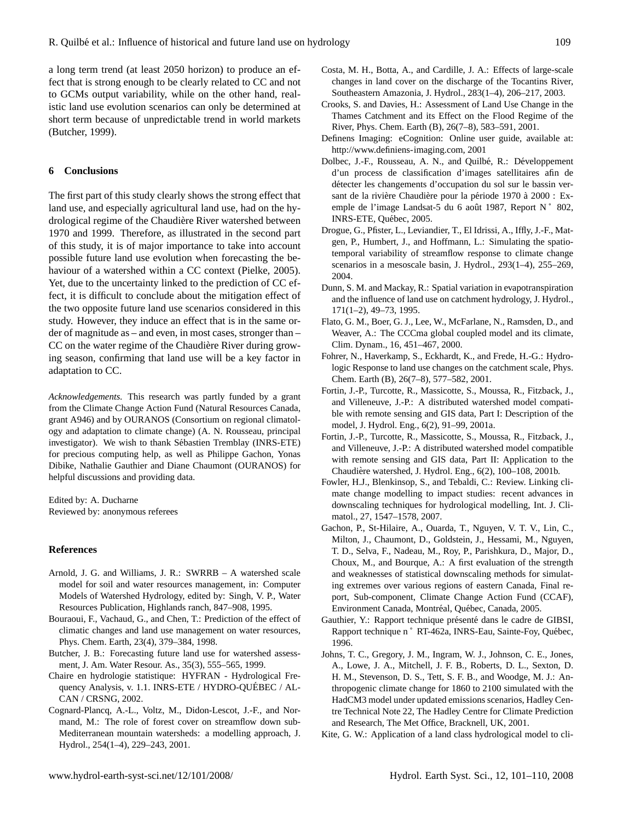a long term trend (at least 2050 horizon) to produce an effect that is strong enough to be clearly related to CC and not to GCMs output variability, while on the other hand, realistic land use evolution scenarios can only be determined at short term because of unpredictable trend in world markets (Butcher, 1999).

## **6 Conclusions**

The first part of this study clearly shows the strong effect that land use, and especially agricultural land use, had on the hydrological regime of the Chaudière River watershed between 1970 and 1999. Therefore, as illustrated in the second part of this study, it is of major importance to take into account possible future land use evolution when forecasting the behaviour of a watershed within a CC context (Pielke, 2005). Yet, due to the uncertainty linked to the prediction of CC effect, it is difficult to conclude about the mitigation effect of the two opposite future land use scenarios considered in this study. However, they induce an effect that is in the same order of magnitude as – and even, in most cases, stronger than – CC on the water regime of the Chaudière River during growing season, confirming that land use will be a key factor in adaptation to CC.

*Acknowledgements.* This research was partly funded by a grant from the Climate Change Action Fund (Natural Resources Canada, grant A946) and by OURANOS (Consortium on regional climatology and adaptation to climate change) (A. N. Rousseau, principal investigator). We wish to thank Sebastien Tremblay (INRS-ETE) ´ for precious computing help, as well as Philippe Gachon, Yonas Dibike, Nathalie Gauthier and Diane Chaumont (OURANOS) for helpful discussions and providing data.

Edited by: A. Ducharne Reviewed by: anonymous referees

### **References**

- Arnold, J. G. and Williams, J. R.: SWRRB A watershed scale model for soil and water resources management, in: Computer Models of Watershed Hydrology, edited by: Singh, V. P., Water Resources Publication, Highlands ranch, 847–908, 1995.
- Bouraoui, F., Vachaud, G., and Chen, T.: Prediction of the effect of climatic changes and land use management on water resources, Phys. Chem. Earth, 23(4), 379–384, 1998.
- Butcher, J. B.: Forecasting future land use for watershed assessment, J. Am. Water Resour. As., 35(3), 555–565, 1999.
- Chaire en hydrologie statistique: HYFRAN Hydrological Frequency Analysis, v. 1.1. INRS-ETE / HYDRO-QUÉBEC / AL-CAN / CRSNG, 2002.
- Cognard-Plancq, A.-L., Voltz, M., Didon-Lescot, J.-F., and Normand, M.: The role of forest cover on streamflow down sub-Mediterranean mountain watersheds: a modelling approach, J. Hydrol., 254(1–4), 229–243, 2001.
- Costa, M. H., Botta, A., and Cardille, J. A.: Effects of large-scale changes in land cover on the discharge of the Tocantins River, Southeastern Amazonia, J. Hydrol., 283(1–4), 206–217, 2003.
- Crooks, S. and Davies, H.: Assessment of Land Use Change in the Thames Catchment and its Effect on the Flood Regime of the River, Phys. Chem. Earth (B), 26(7–8), 583–591, 2001.
- Definens Imaging: eCognition: Online user guide, available at: [http://www.definiens-imaging.com,](http://www.definiens-imaging.com) 2001
- Dolbec, J.-F., Rousseau, A. N., and Quilbé, R.: Développement d'un process de classification d'images satellitaires afin de détecter les changements d'occupation du sol sur le bassin versant de la rivière Chaudière pour la période 1970 à 2000 : Exemple de l'image Landsat-5 du 6 août 1987, Report N° 802, INRS-ETE, Québec, 2005.
- Drogue, G., Pfister, L., Leviandier, T., El Idrissi, A., Iffly, J.-F., Matgen, P., Humbert, J., and Hoffmann, L.: Simulating the spatiotemporal variability of streamflow response to climate change scenarios in a mesoscale basin, J. Hydrol., 293(1–4), 255–269, 2004.
- Dunn, S. M. and Mackay, R.: Spatial variation in evapotranspiration and the influence of land use on catchment hydrology, J. Hydrol., 171(1–2), 49–73, 1995.
- Flato, G. M., Boer, G. J., Lee, W., McFarlane, N., Ramsden, D., and Weaver, A.: The CCCma global coupled model and its climate, Clim. Dynam., 16, 451–467, 2000.
- Fohrer, N., Haverkamp, S., Eckhardt, K., and Frede, H.-G.: Hydrologic Response to land use changes on the catchment scale, Phys. Chem. Earth (B), 26(7–8), 577–582, 2001.
- Fortin, J.-P., Turcotte, R., Massicotte, S., Moussa, R., Fitzback, J., and Villeneuve, J.-P.: A distributed watershed model compatible with remote sensing and GIS data, Part I: Description of the model, J. Hydrol. Eng., 6(2), 91–99, 2001a.
- Fortin, J.-P., Turcotte, R., Massicotte, S., Moussa, R., Fitzback, J., and Villeneuve, J.-P.: A distributed watershed model compatible with remote sensing and GIS data, Part II: Application to the Chaudiere watershed, J. Hydrol. Eng., 6(2), 100–108, 2001b. `
- Fowler, H.J., Blenkinsop, S., and Tebaldi, C.: Review. Linking climate change modelling to impact studies: recent advances in downscaling techniques for hydrological modelling, Int. J. Climatol., 27, 1547–1578, 2007.
- Gachon, P., St-Hilaire, A., Ouarda, T., Nguyen, V. T. V., Lin, C., Milton, J., Chaumont, D., Goldstein, J., Hessami, M., Nguyen, T. D., Selva, F., Nadeau, M., Roy, P., Parishkura, D., Major, D., Choux, M., and Bourque, A.: A first evaluation of the strength and weaknesses of statistical downscaling methods for simulating extremes over various regions of eastern Canada, Final report, Sub-component, Climate Change Action Fund (CCAF), Environment Canada, Montréal, Québec, Canada, 2005.
- Gauthier, Y.: Rapport technique présenté dans le cadre de GIBSI, Rapport technique n° RT-462a, INRS-Eau, Sainte-Foy, Québec, 1996.
- Johns, T. C., Gregory, J. M., Ingram, W. J., Johnson, C. E., Jones, A., Lowe, J. A., Mitchell, J. F. B., Roberts, D. L., Sexton, D. H. M., Stevenson, D. S., Tett, S. F. B., and Woodge, M. J.: Anthropogenic climate change for 1860 to 2100 simulated with the HadCM3 model under updated emissions scenarios, Hadley Centre Technical Note 22, The Hadley Centre for Climate Prediction and Research, The Met Office, Bracknell, UK, 2001.
- Kite, G. W.: Application of a land class hydrological model to cli-